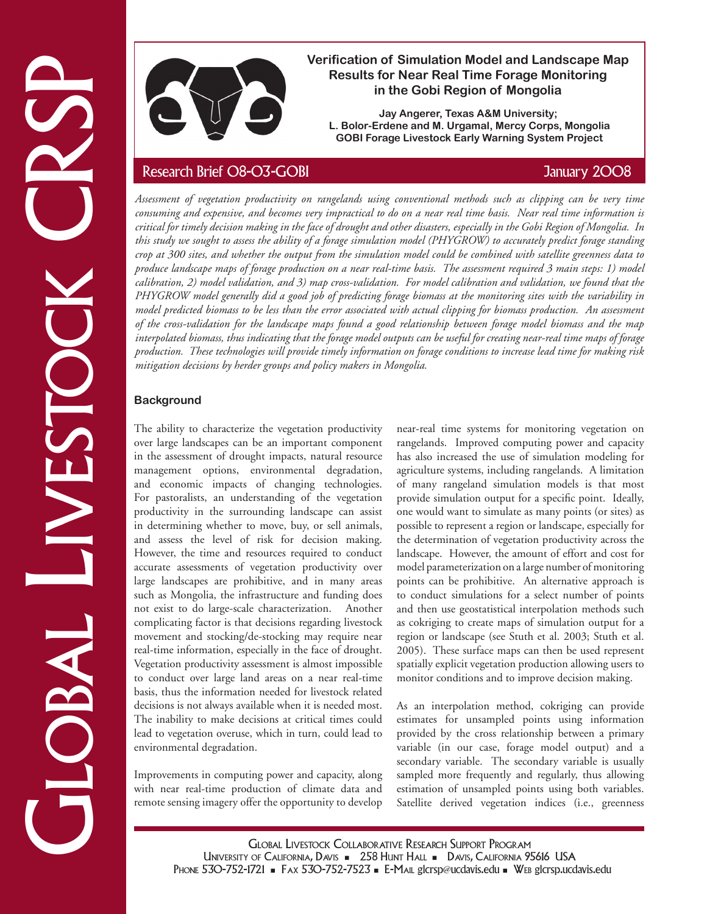

# **Verification of Simulation Model and Landscape Map Results for Near Real Time Forage Monitoring in the Gobi Region of Mongolia**

**Jay Angerer, Texas A&M University; L. Bolor-Erdene and M. Urgamal, Mercy Corps, Mongolia GOBI Forage Livestock Early Warning System Project**

Vertication of Sinutation Model and the Solution Model and Candidate Research Brief 08-03-GOBI Research Brief COB-CS-GOBI Straights (East CRSP Research Brief COB-CS-GOBI January 2008)<br>
An alternative comparison of the CoB *Assessment of vegetation productivity on rangelands using conventional methods such as clipping can be very time consuming and expensive, and becomes very impractical to do on a near real time basis. Near real time information is critical for timely decision making in the face of drought and other disasters, especially in the Gobi Region of Mongolia. In this study we sought to assess the ability of a forage simulation model (PHYGROW) to accurately predict forage standing crop at 300 sites, and whether the output from the simulation model could be combined with satellite greenness data to produce landscape maps of forage production on a near real-time basis. The assessment required 3 main steps: 1) model calibration, 2) model validation, and 3) map cross-validation. For model calibration and validation, we found that the PHYGROW model generally did a good job of predicting forage biomass at the monitoring sites with the variability in model predicted biomass to be less than the error associated with actual clipping for biomass production. An assessment of the cross-validation for the landscape maps found a good relationship between forage model biomass and the map interpolated biomass, thus indicating that the forage model outputs can be useful for creating near-real time maps of forage production. These technologies will provide timely information on forage conditions to increase lead time for making risk mitigation decisions by herder groups and policy makers in Mongolia.* 

## **Background**

The ability to characterize the vegetation productivity over large landscapes can be an important component in the assessment of drought impacts, natural resource management options, environmental degradation, and economic impacts of changing technologies. For pastoralists, an understanding of the vegetation productivity in the surrounding landscape can assist in determining whether to move, buy, or sell animals, and assess the level of risk for decision making. However, the time and resources required to conduct accurate assessments of vegetation productivity over large landscapes are prohibitive, and in many areas such as Mongolia, the infrastructure and funding does not exist to do large-scale characterization. Another complicating factor is that decisions regarding livestock movement and stocking/de-stocking may require near real-time information, especially in the face of drought. Vegetation productivity assessment is almost impossible to conduct over large land areas on a near real-time basis, thus the information needed for livestock related decisions is not always available when it is needed most. The inability to make decisions at critical times could lead to vegetation overuse, which in turn, could lead to environmental degradation.

Improvements in computing power and capacity, along with near real-time production of climate data and remote sensing imagery offer the opportunity to develop near-real time systems for monitoring vegetation on rangelands. Improved computing power and capacity has also increased the use of simulation modeling for agriculture systems, including rangelands. A limitation of many rangeland simulation models is that most provide simulation output for a specific point. Ideally, one would want to simulate as many points (or sites) as possible to represent a region or landscape, especially for the determination of vegetation productivity across the landscape. However, the amount of effort and cost for model parameterization on a large number of monitoring points can be prohibitive. An alternative approach is to conduct simulations for a select number of points and then use geostatistical interpolation methods such as cokriging to create maps of simulation output for a region or landscape (see Stuth et al. 2003; Stuth et al. 2005). These surface maps can then be used represent spatially explicit vegetation production allowing users to monitor conditions and to improve decision making.

As an interpolation method, cokriging can provide estimates for unsampled points using information provided by the cross relationship between a primary variable (in our case, forage model output) and a secondary variable. The secondary variable is usually sampled more frequently and regularly, thus allowing estimation of unsampled points using both variables. Satellite derived vegetation indices (i.e., greenness

Global Livestock Collaborative Research Support Program UNIVERSITY OF CALIFORNIA, DAVIS - 258 HUNT HALL - DAVIS, CALIFORNIA 95616 USA PHONE 530-752-1721 - FAX 530-752-7523 - E-MAIL glcrsp@ucdavis.edu - WEB glcrsp.ucdavis.edu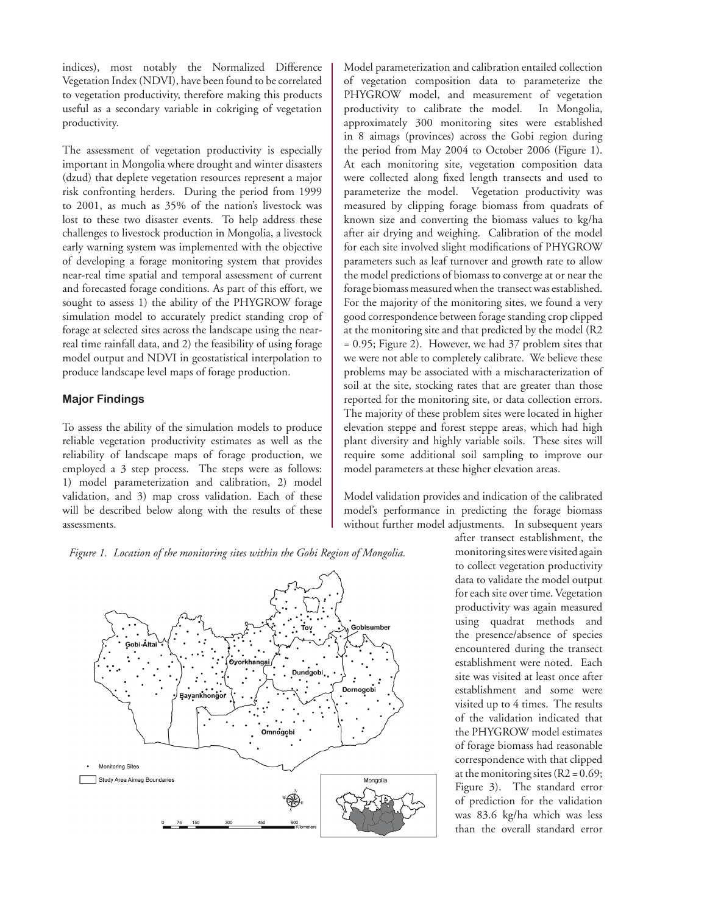indices), most notably the Normalized Difference Vegetation Index (NDVI), have been found to be correlated to vegetation productivity, therefore making this products useful as a secondary variable in cokriging of vegetation productivity.

The assessment of vegetation productivity is especially important in Mongolia where drought and winter disasters (dzud) that deplete vegetation resources represent a major risk confronting herders. During the period from 1999 to 2001, as much as 35% of the nation's livestock was lost to these two disaster events. To help address these challenges to livestock production in Mongolia, a livestock early warning system was implemented with the objective of developing a forage monitoring system that provides near-real time spatial and temporal assessment of current and forecasted forage conditions. As part of this effort, we sought to assess 1) the ability of the PHYGROW forage simulation model to accurately predict standing crop of forage at selected sites across the landscape using the nearreal time rainfall data, and 2) the feasibility of using forage model output and NDVI in geostatistical interpolation to produce landscape level maps of forage production.

### **Major Findings**

To assess the ability of the simulation models to produce reliable vegetation productivity estimates as well as the reliability of landscape maps of forage production, we employed a 3 step process. The steps were as follows: 1) model parameterization and calibration, 2) model validation, and 3) map cross validation. Each of these will be described below along with the results of these assessments.

Model parameterization and calibration entailed collection of vegetation composition data to parameterize the PHYGROW model, and measurement of vegetation productivity to calibrate the model. In Mongolia, approximately 300 monitoring sites were established in 8 aimags (provinces) across the Gobi region during the period from May 2004 to October 2006 (Figure 1). At each monitoring site, vegetation composition data were collected along fixed length transects and used to parameterize the model. Vegetation productivity was measured by clipping forage biomass from quadrats of known size and converting the biomass values to kg/ha after air drying and weighing. Calibration of the model for each site involved slight modifications of PHYGROW parameters such as leaf turnover and growth rate to allow the model predictions of biomass to converge at or near the forage biomass measured when the transect was established. For the majority of the monitoring sites, we found a very good correspondence between forage standing crop clipped at the monitoring site and that predicted by the model (R2 = 0.95; Figure 2). However, we had 37 problem sites that we were not able to completely calibrate. We believe these problems may be associated with a mischaracterization of soil at the site, stocking rates that are greater than those reported for the monitoring site, or data collection errors. The majority of these problem sites were located in higher elevation steppe and forest steppe areas, which had high plant diversity and highly variable soils. These sites will require some additional soil sampling to improve our model parameters at these higher elevation areas.

Model validation provides and indication of the calibrated model's performance in predicting the forage biomass without further model adjustments. In subsequent years

*Figure 1. Location of the monitoring sites within the Gobi Region of Mongolia.*



after transect establishment, the monitoring sites were visited again to collect vegetation productivity data to validate the model output for each site over time. Vegetation productivity was again measured using quadrat methods and the presence/absence of species encountered during the transect establishment were noted. Each site was visited at least once after establishment and some were visited up to 4 times. The results of the validation indicated that the PHYGROW model estimates of forage biomass had reasonable correspondence with that clipped at the monitoring sites  $(R2 = 0.69)$ ; Figure 3). The standard error of prediction for the validation was 83.6 kg/ha which was less than the overall standard error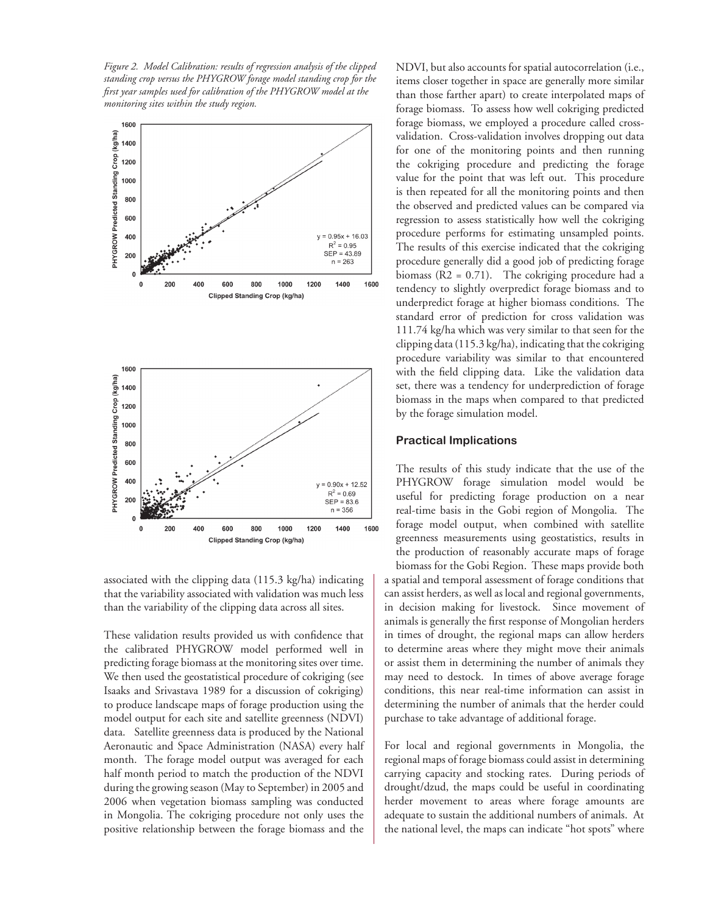*Figure 2. Model Calibration: results of regression analysis of the clipped standing crop versus the PHYGROW forage model standing crop for the first year samples used for calibration of the PHYGROW model at the monitoring sites within the study region.*





associated with the clipping data (115.3 kg/ha) indicating that the variability associated with validation was much less than the variability of the clipping data across all sites.

These validation results provided us with confidence that the calibrated PHYGROW model performed well in predicting forage biomass at the monitoring sites over time. We then used the geostatistical procedure of cokriging (see Isaaks and Srivastava 1989 for a discussion of cokriging) to produce landscape maps of forage production using the model output for each site and satellite greenness (NDVI) data. Satellite greenness data is produced by the National Aeronautic and Space Administration (NASA) every half month. The forage model output was averaged for each half month period to match the production of the NDVI during the growing season (May to September) in 2005 and 2006 when vegetation biomass sampling was conducted in Mongolia. The cokriging procedure not only uses the positive relationship between the forage biomass and the NDVI, but also accounts for spatial autocorrelation (i.e., items closer together in space are generally more similar than those farther apart) to create interpolated maps of forage biomass. To assess how well cokriging predicted forage biomass, we employed a procedure called crossvalidation. Cross-validation involves dropping out data for one of the monitoring points and then running the cokriging procedure and predicting the forage value for the point that was left out. This procedure is then repeated for all the monitoring points and then the observed and predicted values can be compared via regression to assess statistically how well the cokriging procedure performs for estimating unsampled points. The results of this exercise indicated that the cokriging procedure generally did a good job of predicting forage biomass  $(R2 = 0.71)$ . The cokriging procedure had a tendency to slightly overpredict forage biomass and to underpredict forage at higher biomass conditions. The standard error of prediction for cross validation was 111.74 kg/ha which was very similar to that seen for the clipping data (115.3 kg/ha), indicating that the cokriging procedure variability was similar to that encountered with the field clipping data. Like the validation data set, there was a tendency for underprediction of forage biomass in the maps when compared to that predicted by the forage simulation model.

### **Practical Implications**

The results of this study indicate that the use of the PHYGROW forage simulation model would be useful for predicting forage production on a near real-time basis in the Gobi region of Mongolia. The forage model output, when combined with satellite greenness measurements using geostatistics, results in the production of reasonably accurate maps of forage biomass for the Gobi Region. These maps provide both a spatial and temporal assessment of forage conditions that can assist herders, as well as local and regional governments, in decision making for livestock. Since movement of animals is generally the first response of Mongolian herders in times of drought, the regional maps can allow herders to determine areas where they might move their animals or assist them in determining the number of animals they may need to destock. In times of above average forage conditions, this near real-time information can assist in determining the number of animals that the herder could purchase to take advantage of additional forage.

For local and regional governments in Mongolia, the regional maps of forage biomass could assist in determining carrying capacity and stocking rates. During periods of drought/dzud, the maps could be useful in coordinating herder movement to areas where forage amounts are adequate to sustain the additional numbers of animals. At the national level, the maps can indicate "hot spots" where